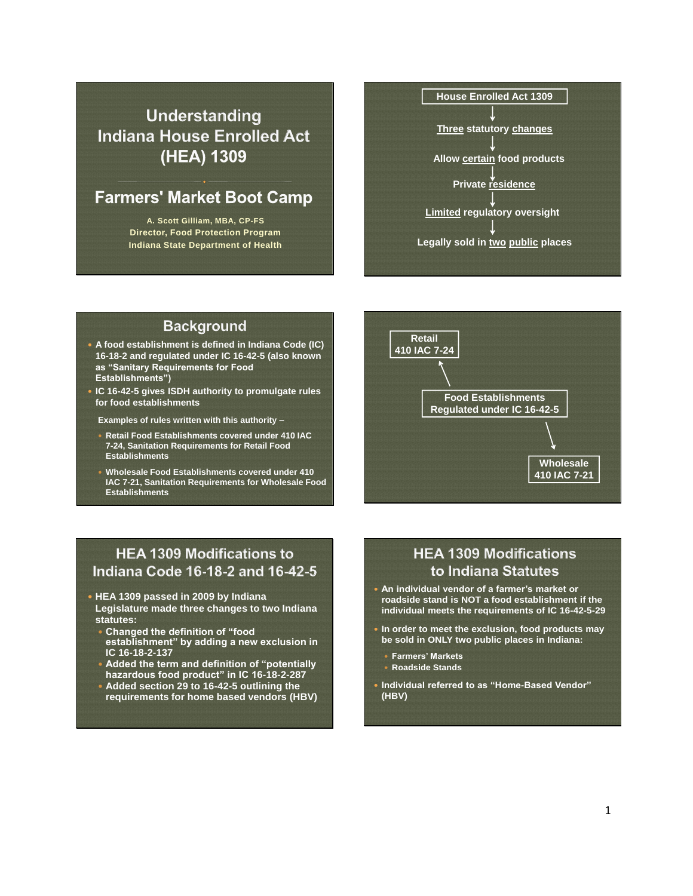# **Understanding Indiana House Enrolled Act** (HEA) 1309

# **Farmers' Market Boot Camp**<br>A. Scott Gilliam, MBA, CP-FS

**Director, Food Protection Program Indiana State Department of Health**



#### **Background**

- **A food establishment is defined in Indiana Code (IC) 16-18-2 and regulated under IC 16-42-5 (also known as "Sanitary Requirements for Food Establishments")**
- **IC 16-42-5 gives ISDH authority to promulgate rules for food establishments**

**Examples of rules written with this authority –**

- **Retail Food Establishments covered under 410 IAC 7-24, Sanitation Requirements for Retail Food Establishments**
- **Wholesale Food Establishments covered under 410 IAC 7-21, Sanitation Requirements for Wholesale Food Establishments**



## **HEA 1309 Modifications to** Indiana Code 16-18-2 and 16-42-5

- **HEA 1309 passed in 2009 by Indiana Legislature made three changes to two Indiana**
- **statutes:**
- **Changed the definition of "food establishment" by adding a new exclusion in IC 16-18-2-137**
- **Added the term and definition of "potentially hazardous food product" in IC 16-18-2-287**
- **Added section 29 to 16-42-5 outlining the requirements for home based vendors (HBV)**

## **HEA 1309 Modifications** to Indiana Statutes

- **An individual vendor of a farmer's market or roadside stand is NOT a food establishment if the individual meets the requirements of IC 16-42-5-29**
- **In order to meet the exclusion, food products may be sold in ONLY two public places in Indiana:** 
	- **Farmers' Markets**
	- **Roadside Stands**
- **Individual referred to as "Home-Based Vendor" (HBV)**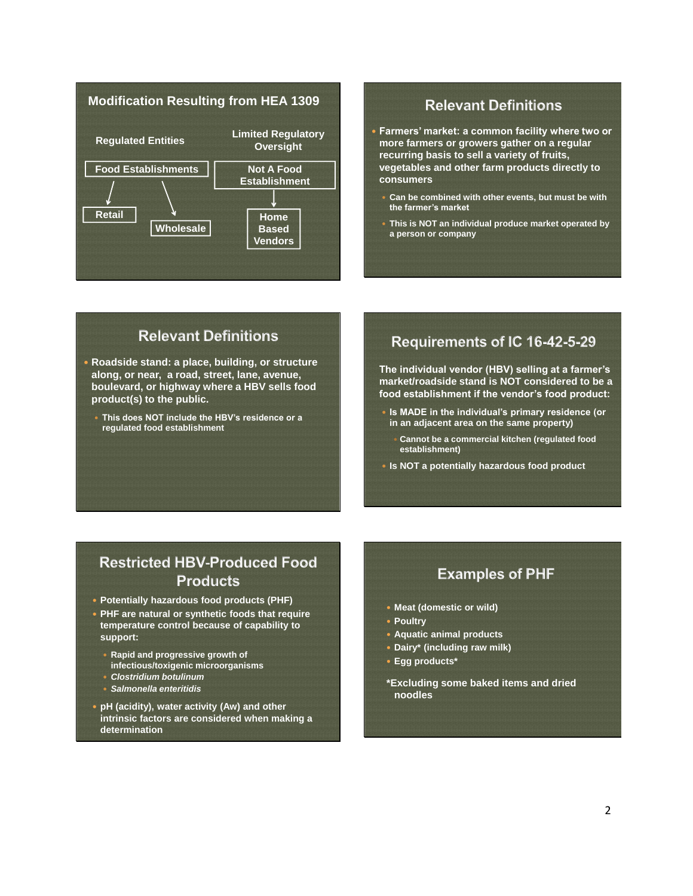

#### **Relevant Definitions**

 **Farmers' market: a common facility where two or more farmers or growers gather on a regular recurring basis to sell a variety of fruits, vegetables and other farm products directly to consumers**

- **Can be combined with other events, but must be with the farmer's market**
- **This is NOT an individual produce market operated by a person or company**

## **Relevant Definitions**

- **Roadside stand: a place, building, or structure along, or near, a road, street, lane, avenue, boulevard, or highway where a HBV sells food product(s) to the public.**
	- **This does NOT include the HBV's residence or a regulated food establishment**

## Requirements of IC 16-42-5-29

**The individual vendor (HBV) selling at a farmer's market/roadside stand is NOT considered to be a food establishment if the vendor's food product:**

- **Is MADE in the individual's primary residence (or in an adjacent area on the same property)**
	- **Cannot be a commercial kitchen (regulated food establishment)**
- **Is NOT a potentially hazardous food product**

## **Restricted HBV-Produced Food Products**

- **Potentially hazardous food products (PHF)**
- **PHF are natural or synthetic foods that require temperature control because of capability to support:**
	- **Rapid and progressive growth of infectious/toxigenic microorganisms**
	- *Clostridium botulinum*
	- *Salmonella enteritidis*
- **pH (acidity), water activity (Aw) and other intrinsic factors are considered when making a determination**

## **Examples of PHF**

- **Meat (domestic or wild)**
- **Poultry**
- **Aquatic animal products**
- **Dairy\* (including raw milk)**
- **Egg products\***
- **\*Excluding some baked items and dried noodles**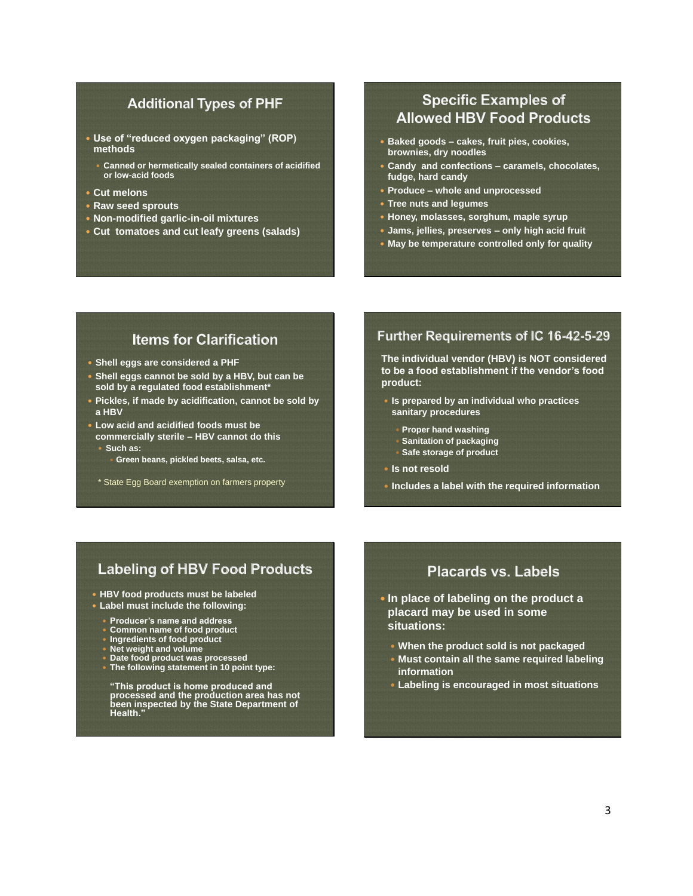#### **Additional Types of PHF**

- **Use of "reduced oxygen packaging" (ROP) methods**
	- **Canned or hermetically sealed containers of acidified or low-acid foods**
- **Cut melons**
- **Raw seed sprouts**
- **Non-modified garlic-in-oil mixtures**
- **Cut tomatoes and cut leafy greens (salads)**

## **Specific Examples of Allowed HBV Food Products**

- **Baked goods – cakes, fruit pies, cookies, brownies, dry noodles**
- **Candy and confections – caramels, chocolates, fudge, hard candy**
- **Produce – whole and unprocessed**
- **Tree nuts and legumes**
- **Honey, molasses, sorghum, maple syrup**
- **Jams, jellies, preserves – only high acid fruit**
- **May be temperature controlled only for quality**

## **Items for Clarification**

- **Shell eggs are considered a PHF**
- **Shell eggs cannot be sold by a HBV, but can be sold by a regulated food establishment\***
- **Pickles, if made by acidification, cannot be sold by a HBV**
- **Low acid and acidified foods must be commercially sterile – HBV cannot do this Such as:**
	- **Green beans, pickled beets, salsa, etc.**
	- \* State Egg Board exemption on farmers property

#### Further Requirements of IC 16-42-5-29

**The individual vendor (HBV) is NOT considered to be a food establishment if the vendor's food product:**

- **Is prepared by an individual who practices sanitary procedures**
- **Proper hand washing**
- **Sanitation of packaging**
- **Safe storage of product**
- **Is not resold**
- **Includes a label with the required information**

### **Labeling of HBV Food Products**

- **HBV food products must be labeled**
- **Label must include the following:**
	- **Producer's name and address**
	- **Common name of food product**
	- **Ingredients of food product**
	- **Net weight and volume**
	- **Date food product was processed**
	- **The following statement in 10 point type:**

**"This product is home produced and processed and the production area has not been inspected by the State Department of Health."**

## **Placards vs. Labels**

- **In place of labeling on the product a placard may be used in some situations:**
	- **When the product sold is not packaged**
	- **Must contain all the same required labeling information**
	- **Labeling is encouraged in most situations**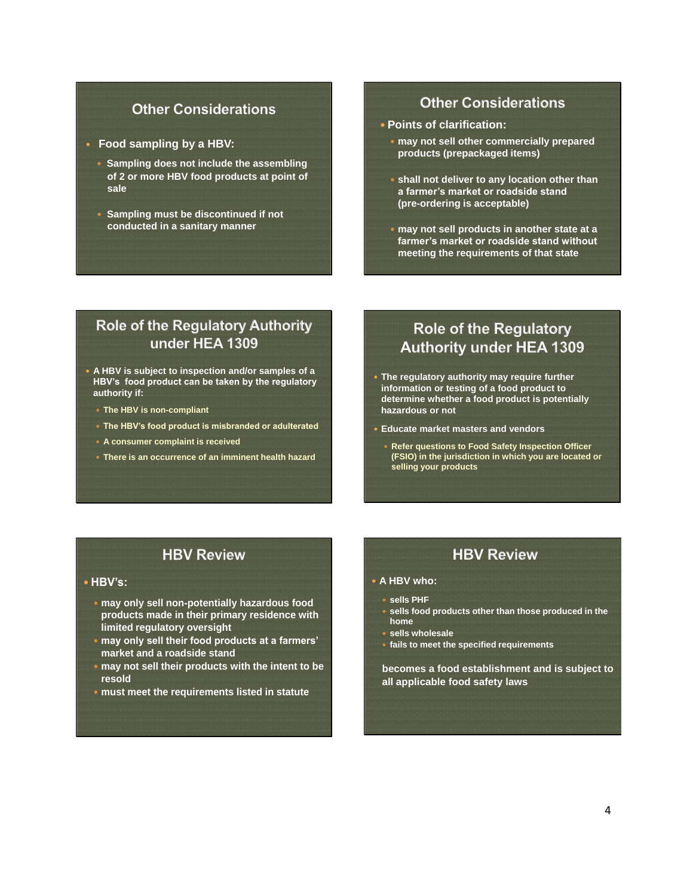#### **Other Considerations**

- **Food sampling by a HBV:**
	- **Sampling does not include the assembling of 2 or more HBV food products at point of sale**
	- **Sampling must be discontinued if not conducted in a sanitary manner**

#### **Other Considerations**

- **Points of clarification:**
	- **may not sell other commercially prepared products (prepackaged items)**
	- **shall not deliver to any location other than a farmer's market or roadside stand (pre-ordering is acceptable)**
	- **may not sell products in another state at a farmer's market or roadside stand without meeting the requirements of that state**

## **Role of the Regulatory Authority** under HEA 1309

- **A HBV is subject to inspection and/or samples of a HBV's food product can be taken by the regulatory authority if:**
	- **The HBV is non-compliant**
	- **The HBV's food product is misbranded or adulterated**
	- **A consumer complaint is received**
	- **There is an occurrence of an imminent health hazard**

## **Role of the Regulatory Authority under HEA 1309**

- **The regulatory authority may require further information or testing of a food product to determine whether a food product is potentially hazardous or not**
- **Educate market masters and vendors**
	- **Refer questions to Food Safety Inspection Officer (FSIO) in the jurisdiction in which you are located or selling your products**

## **HBV Review**

#### **HBV's:**

- **may only sell non-potentially hazardous food products made in their primary residence with limited regulatory oversight**
- **may only sell their food products at a farmers' market and a roadside stand**
- **may not sell their products with the intent to be resold**
- **must meet the requirements listed in statute**

## **HBV Review**

- **A HBV who:** 
	- **sells PHF**
- **sells food products other than those produced in the home**
- **sells wholesale**
- **fails to meet the specified requirements**

**becomes a food establishment and is subject to all applicable food safety laws**